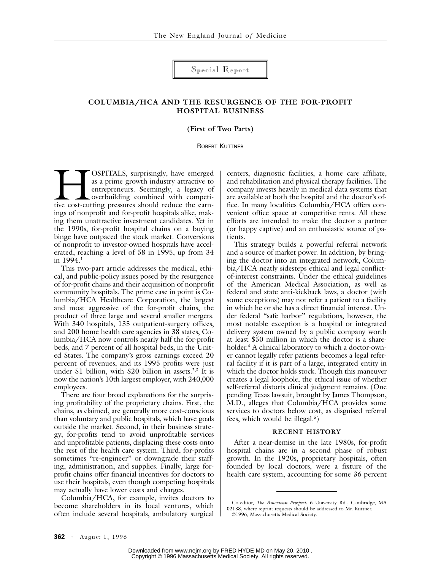# Special Report

# **COLUMBIA/HCA AND THE RESURGENCE OF THE FOR-PROFIT HOSPITAL BUSINESS**

### **(First of Two Parts)**

ROBERT KUTTNER

OSPITALS, surprisingly, have emerged as a prime growth industry attractive to entrepreneurs. Seemingly, a legacy of overbuilding combined with competitive cost-cutting pressures should reduce the earnings of nonprofit and for-profit hospitals alike, making them unattractive investment candidates. Yet in the 1990s, for-profit hospital chains on a buying binge have outpaced the stock market. Conversions of nonprofit to investor-owned hospitals have accelerated, reaching a level of 58 in 1995, up from 34 in 1994.1 TOSPITALS, surprisingly, have emerged<br>as a prime growth industry attractive to<br>entrepreneurs. Seemingly, a legacy of<br>overbuilding combined with competi-<br>tive cost-cutting pressures should reduce the earn-<br>fice. In many loc

This two-part article addresses the medical, ethical, and public-policy issues posed by the resurgence of for-profit chains and their acquisition of nonprofit community hospitals. The prime case in point is Columbia/HCA Healthcare Corporation, the largest and most aggressive of the for-profit chains, the product of three large and several smaller mergers. With 340 hospitals, 135 outpatient-surgery offices, and 200 home health care agencies in 38 states, Columbia/HCA now controls nearly half the for-profit beds, and 7 percent of all hospital beds, in the United States. The company's gross earnings exceed 20 percent of revenues, and its 1995 profits were just under \$1 billion, with \$20 billion in assets. $2,3$  It is now the nation's 10th largest employer, with 240,000 employees.

There are four broad explanations for the surprising profitability of the proprietary chains. First, the chains, as claimed, are generally more cost-conscious than voluntary and public hospitals, which have goals outside the market. Second, in their business strategy, for-profits tend to avoid unprofitable services and unprofitable patients, displacing these costs onto the rest of the health care system. Third, for-profits sometimes "re-engineer" or downgrade their staffing, administration, and supplies. Finally, large forprofit chains offer financial incentives for doctors to use their hospitals, even though competing hospitals may actually have lower costs and charges.

Columbia/HCA, for example, invites doctors to become shareholders in its local ventures, which often include several hospitals, ambulatory surgical and rehabilitation and physical therapy facilities. The company invests heavily in medical data systems that are available at both the hospital and the doctor's office. In many localities Columbia/HCA offers convenient office space at competitive rents. All these efforts are intended to make the doctor a partner (or happy captive) and an enthusiastic source of patients.

This strategy builds a powerful referral network and a source of market power. In addition, by bringing the doctor into an integrated network, Columbia/HCA neatly sidesteps ethical and legal conflictof-interest constraints. Under the ethical guidelines of the American Medical Association, as well as federal and state anti-kickback laws, a doctor (with some exceptions) may not refer a patient to a facility in which he or she has a direct financial interest. Under federal "safe harbor" regulations, however, the most notable exception is a hospital or integrated delivery system owned by a public company worth at least \$50 million in which the doctor is a shareholder.<sup>4</sup> A clinical laboratory to which a doctor-owner cannot legally refer patients becomes a legal referral facility if it is part of a large, integrated entity in which the doctor holds stock. Though this maneuver creates a legal loophole, the ethical issue of whether self-referral distorts clinical judgment remains. (One pending Texas lawsuit, brought by James Thompson, M.D., alleges that Columbia/HCA provides some services to doctors below cost, as disguised referral fees, which would be illegal.5)

## **RECENT HISTORY**

After a near-demise in the late 1980s, for-profit hospital chains are in a second phase of robust growth. In the 1920s, proprietary hospitals, often founded by local doctors, were a fixture of the health care system, accounting for some 36 percent

Co-editor, *The American Prospect,* 6 University Rd., Cambridge, MA 02138, where reprint requests should be addressed to Mr. Kuttner. ©1996, Massachusetts Medical Society.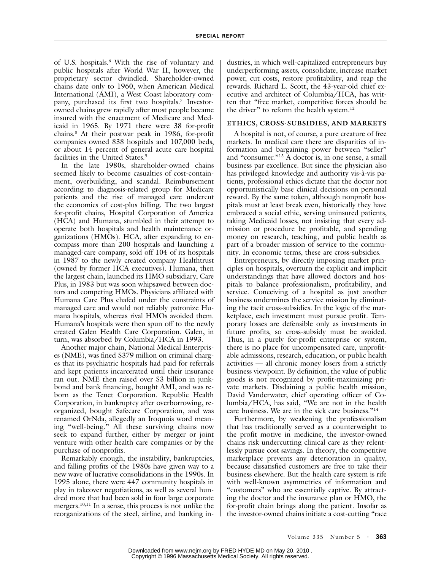of U.S. hospitals.6 With the rise of voluntary and public hospitals after World War II, however, the proprietary sector dwindled. Shareholder-owned chains date only to 1960, when American Medical International (AMI), a West Coast laboratory company, purchased its first two hospitals.<sup>7</sup> Investorowned chains grew rapidly after most people became insured with the enactment of Medicare and Medicaid in 1965. By 1971 there were 38 for-profit chains.8 At their postwar peak in 1986, for-profit companies owned 838 hospitals and 107,000 beds, or about 14 percent of general acute care hospital facilities in the United States.<sup>9</sup>

In the late 1980s, shareholder-owned chains seemed likely to become casualties of cost-containment, overbuilding, and scandal. Reimbursement according to diagnosis-related group for Medicare patients and the rise of managed care undercut the economics of cost-plus billing. The two largest for-profit chains, Hospital Corporation of America (HCA) and Humana, stumbled in their attempt to operate both hospitals and health maintenance organizations (HMOs). HCA, after expanding to encompass more than 200 hospitals and launching a managed-care company, sold off 104 of its hospitals in 1987 to the newly created company Healthtrust (owned by former HCA executives). Humana, then the largest chain, launched its HMO subsidiary, Care Plus, in 1983 but was soon whipsawed between doctors and competing HMOs. Physicians affiliated with Humana Care Plus chafed under the constraints of managed care and would not reliably patronize Humana hospitals, whereas rival HMOs avoided them. Humana's hospitals were then spun off to the newly created Galen Health Care Corporation. Galen, in turn, was absorbed by Columbia/HCA in 1993.

Another major chain, National Medical Enterprises (NME), was fined \$379 million on criminal charges that its psychiatric hospitals had paid for referrals and kept patients incarcerated until their insurance ran out. NME then raised over \$3 billion in junkbond and bank financing, bought AMI, and was reborn as the Tenet Corporation. Republic Health Corporation, in bankruptcy after overborrowing, reorganized, bought Safecare Corporation, and was renamed OrNda, allegedly an Iroquois word meaning "well-being." All these surviving chains now seek to expand further, either by merger or joint venture with other health care companies or by the purchase of nonprofits.

Remarkably enough, the instability, bankruptcies, and falling profits of the 1980s have given way to a new wave of lucrative consolidations in the 1990s. In 1995 alone, there were 447 community hospitals in play in takeover negotiations, as well as several hundred more that had been sold in four large corporate mergers.10,11 In a sense, this process is not unlike the reorganizations of the steel, airline, and banking industries, in which well-capitalized entrepreneurs buy underperforming assets, consolidate, increase market power, cut costs, restore profitability, and reap the rewards. Richard L. Scott, the 43-year-old chief executive and architect of Columbia/HCA, has written that "free market, competitive forces should be the driver" to reform the health system.<sup>12</sup>

# **ETHICS, CROSS-SUBSIDIES, AND MARKETS**

A hospital is not, of course, a pure creature of free markets. In medical care there are disparities of information and bargaining power between "seller" and "consumer."13 A doctor is, in one sense, a small business par excellence. But since the physician also has privileged knowledge and authority vis-à-vis patients, professional ethics dictate that the doctor not opportunistically base clinical decisions on personal reward. By the same token, although nonprofit hospitals must at least break even, historically they have embraced a social ethic, serving uninsured patients, taking Medicaid losses, not insisting that every admission or procedure be profitable, and spending money on research, teaching, and public health as part of a broader mission of service to the community. In economic terms, these are cross-subsidies.

Entrepreneurs, by directly imposing market principles on hospitals, overturn the explicit and implicit understandings that have allowed doctors and hospitals to balance professionalism, profitability, and service. Conceiving of a hospital as just another business undermines the service mission by eliminating the tacit cross-subsidies. In the logic of the marketplace, each investment must pursue profit. Temporary losses are defensible only as investments in future profits, so cross-subsidy must be avoided. Thus, in a purely for-profit enterprise or system, there is no place for uncompensated care, unprofitable admissions, research, education, or public health activities — all chronic money losers from a strictly business viewpoint. By definition, the value of public goods is not recognized by profit-maximizing private markets. Disdaining a public health mission, David Vanderwater, chief operating officer of Columbia/HCA, has said, "We are not in the health care business. We are in the sick care business."<sup>14</sup>

Furthermore, by weakening the professionalism that has traditionally served as a counterweight to the profit motive in medicine, the investor-owned chains risk undercutting clinical care as they relentlessly pursue cost savings. In theory, the competitive marketplace prevents any deterioration in quality, because dissatisfied customers are free to take their business elsewhere. But the health care system is rife with well-known asymmetries of information and "customers" who are essentially captive. By attracting the doctor and the insurance plan or HMO, the for-profit chain brings along the patient. Insofar as the investor-owned chains initiate a cost-cutting "race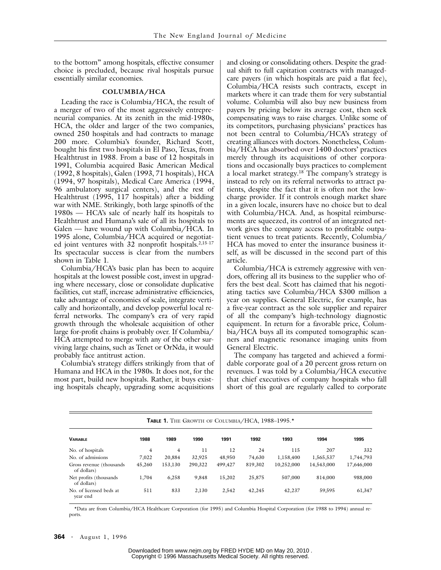to the bottom" among hospitals, effective consumer choice is precluded, because rival hospitals pursue essentially similar economies.

## **COLUMBIA/HCA**

Leading the race is Columbia/HCA, the result of a merger of two of the most aggressively entrepreneurial companies. At its zenith in the mid-1980s, HCA, the older and larger of the two companies, owned 250 hospitals and had contracts to manage 200 more. Columbia's founder, Richard Scott, bought his first two hospitals in El Paso, Texas, from Healthtrust in 1988. From a base of 12 hospitals in 1991, Columbia acquired Basic American Medical (1992, 8 hospitals), Galen (1993, 71 hospitals), HCA (1994, 97 hospitals), Medical Care America (1994, 96 ambulatory surgical centers), and the rest of Healthtrust (1995, 117 hospitals) after a bidding war with NME. Strikingly, both large spinoffs of the 1980s — HCA's sale of nearly half its hospitals to Healthtrust and Humana's sale of all its hospitals to Galen — have wound up with Columbia/HCA. In 1995 alone, Columbia/HCA acquired or negotiated joint ventures with 32 nonprofit hospitals.<sup>2,15-17</sup> Its spectacular success is clear from the numbers shown in Table 1.

Columbia/HCA's basic plan has been to acquire hospitals at the lowest possible cost, invest in upgrading where necessary, close or consolidate duplicative facilities, cut staff, increase administrative efficiencies, take advantage of economies of scale, integrate vertically and horizontally, and develop powerful local referral networks. The company's era of very rapid growth through the wholesale acquisition of other large for-profit chains is probably over. If Columbia/ HCA attempted to merge with any of the other surviving large chains, such as Tenet or OrNda, it would probably face antitrust action.

Columbia's strategy differs strikingly from that of Humana and HCA in the 1980s. It does not, for the most part, build new hospitals. Rather, it buys existing hospitals cheaply, upgrading some acquisitions

and closing or consolidating others. Despite the gradual shift to full capitation contracts with managedcare payers (in which hospitals are paid a flat fee), Columbia/HCA resists such contracts, except in markets where it can trade them for very substantial volume. Columbia will also buy new business from payers by pricing below its average cost, then seek compensating ways to raise charges. Unlike some of its competitors, purchasing physicians' practices has not been central to Columbia/HCA's strategy of creating alliances with doctors. Nonetheless, Columbia/HCA has absorbed over 1400 doctors' practices merely through its acquisitions of other corporations and occasionally buys practices to complement a local market strategy.18 The company's strategy is instead to rely on its referral networks to attract patients, despite the fact that it is often not the lowcharge provider. If it controls enough market share in a given locale, insurers have no choice but to deal with Columbia/HCA. And, as hospital reimbursements are squeezed, its control of an integrated network gives the company access to profitable outpatient venues to treat patients. Recently, Columbia/ HCA has moved to enter the insurance business itself, as will be discussed in the second part of this article.

Columbia/HCA is extremely aggressive with vendors, offering all its business to the supplier who offers the best deal. Scott has claimed that his negotiating tactics save Columbia/HCA \$300 million a year on supplies. General Electric, for example, has a five-year contract as the sole supplier and repairer of all the company's high-technology diagnostic equipment. In return for a favorable price, Columbia/HCA buys all its computed tomographic scanners and magnetic resonance imaging units from General Electric.

The company has targeted and achieved a formidable corporate goal of a 20 percent gross return on revenues. I was told by a Columbia/HCA executive that chief executives of company hospitals who fall short of this goal are regularly called to corporate

| TABLE 1. THE GROWTH OF COLUMBIA/HCA, 1988-1995.* |        |         |         |         |         |            |            |            |
|--------------------------------------------------|--------|---------|---------|---------|---------|------------|------------|------------|
| <b><i>VARIABLE</i></b>                           | 1988   | 1989    | 1990    | 1991    | 1992    | 1993       | 1994       | 1995       |
| No. of hospitals                                 | 4      | 4       | 11      | 12      | 24      | 115        | 207        | 332        |
| No. of admissions                                | 7,022  | 20,884  | 32,925  | 48.950  | 74,630  | 1,158,400  | 1,565,537  | 1,744,793  |
| Gross revenue (thousands<br>of dollars)          | 45,260 | 153,130 | 290,322 | 499,427 | 819,302 | 10,252,000 | 14,543,000 | 17,646,000 |
| Net profits (thousands<br>of dollars)            | 1.704  | 6,258   | 9,848   | 15,202  | 25,875  | 507,000    | 814,000    | 988,000    |
| No. of licensed beds at<br>year end              | 511    | 833     | 2,130   | 2,542   | 42,245  | 42,237     | 59,595     | 61,347     |

\*Data are from Columbia/HCA Healthcare Corporation (for 1995) and Columbia Hospital Corporation (for 1988 to 1994) annual reports.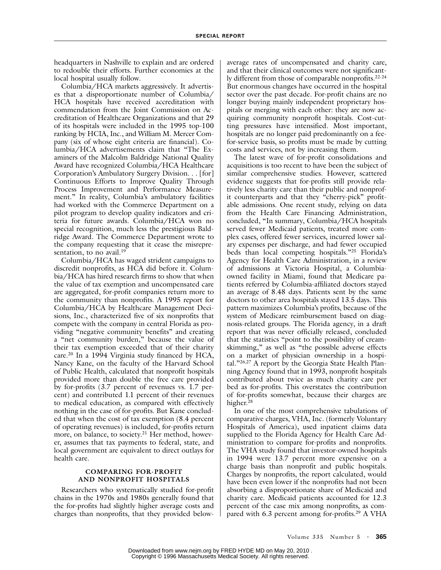headquarters in Nashville to explain and are ordered to redouble their efforts. Further economies at the local hospital usually follow.

Columbia/HCA markets aggressively. It advertises that a disproportionate number of Columbia/ HCA hospitals have received accreditation with commendation from the Joint Commission on Accreditation of Healthcare Organizations and that 29 of its hospitals were included in the 1995 top-100 ranking by HCIA, Inc., and William M. Mercer Company (six of whose eight criteria are financial). Columbia/HCA advertisements claim that "The Examiners of the Malcolm Baldridge National Quality Award have recognized Columbia/HCA Healthcare Corporation's Ambulatory Surgery Division. . . [for] Continuous Efforts to Improve Quality Through Process Improvement and Performance Measurement." In reality, Columbia's ambulatory facilities had worked with the Commerce Department on a pilot program to develop quality indicators and criteria for future awards. Columbia/HCA won no special recognition, much less the prestigious Baldridge Award. The Commerce Department wrote to the company requesting that it cease the misrepresentation, to no avail.<sup>19</sup>

Columbia/HCA has waged strident campaigns to discredit nonprofits, as HCA did before it. Columbia/HCA has hired research firms to show that when the value of tax exemption and uncompensated care are aggregated, for-profit companies return more to the community than nonprofits. A 1995 report for Columbia/HCA by Healthcare Management Decisions, Inc., characterized five of six nonprofits that compete with the company in central Florida as providing "negative community benefits" and creating a "net community burden," because the value of their tax exemption exceeded that of their charity care.20 In a 1994 Virginia study financed by HCA, Nancy Kane, on the faculty of the Harvard School of Public Health, calculated that nonprofit hospitals provided more than double the free care provided by for-profits (3.7 percent of revenues vs. 1.7 percent) and contributed 1.1 percent of their revenues to medical education, as compared with effectively nothing in the case of for-profits. But Kane concluded that when the cost of tax exemption (8.4 percent of operating revenues) is included, for-profits return more, on balance, to society.<sup>21</sup> Her method, however, assumes that tax payments to federal, state, and local government are equivalent to direct outlays for health care.

## **COMPARING FOR-PROFIT AND NONPROFIT HOSPITALS**

Researchers who systematically studied for-profit chains in the 1970s and 1980s generally found that the for-profits had slightly higher average costs and charges than nonprofits, that they provided belowaverage rates of uncompensated and charity care, and that their clinical outcomes were not significantly different from those of comparable nonprofits.22-24 But enormous changes have occurred in the hospital sector over the past decade. For-profit chains are no longer buying mainly independent proprietary hospitals or merging with each other: they are now acquiring community nonprofit hospitals. Cost-cutting pressures have intensified. Most important, hospitals are no longer paid predominantly on a feefor-service basis, so profits must be made by cutting costs and services, not by increasing them.

The latest wave of for-profit consolidations and acquisitions is too recent to have been the subject of similar comprehensive studies. However, scattered evidence suggests that for-profits still provide relatively less charity care than their public and nonprofit counterparts and that they "cherry-pick" profitable admissions. One recent study, relying on data from the Health Care Financing Administration, concluded, "In summary, Columbia/HCA hospitals served fewer Medicaid patients, treated more complex cases, offered fewer services, incurred lower salary expenses per discharge, and had fewer occupied beds than local competing hospitals."25 Florida's Agency for Health Care Administration, in a review of admissions at Victoria Hospital, a Columbiaowned facility in Miami, found that Medicare patients referred by Columbia-affiliated doctors stayed an average of 8.48 days. Patients sent by the same doctors to other area hospitals stayed 13.5 days. This pattern maximizes Columbia's profits, because of the system of Medicare reimbursement based on diagnosis-related groups. The Florida agency, in a draft report that was never officially released, concluded that the statistics "point to the possibility of creamskimming," as well as "the possible adverse effects on a market of physician ownership in a hospital."26,27 A report by the Georgia State Health Planning Agency found that in 1993, nonprofit hospitals contributed about twice as much charity care per bed as for-profits. This overstates the contribution of for-profits somewhat, because their charges are higher. $28$ 

In one of the most comprehensive tabulations of comparative charges, VHA, Inc. (formerly Voluntary Hospitals of America), used inpatient claims data supplied to the Florida Agency for Health Care Administration to compare for-profits and nonprofits. The VHA study found that investor-owned hospitals in 1994 were 13.7 percent more expensive on a charge basis than nonprofit and public hospitals. Charges by nonprofits, the report calculated, would have been even lower if the nonprofits had not been absorbing a disproportionate share of Medicaid and charity care. Medicaid patients accounted for 12.3 percent of the case mix among nonprofits, as compared with 6.3 percent among for-profits.<sup>29</sup> A VHA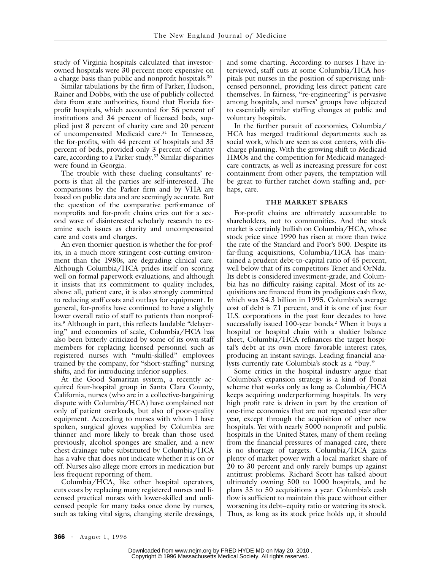study of Virginia hospitals calculated that investorowned hospitals were 30 percent more expensive on a charge basis than public and nonprofit hospitals.30

Similar tabulations by the firm of Parker, Hudson, Rainer and Dobbs, with the use of publicly collected data from state authorities, found that Florida forprofit hospitals, which accounted for 56 percent of institutions and 34 percent of licensed beds, supplied just 8 percent of charity care and 20 percent of uncompensated Medicaid care.<sup>31</sup> In Tennessee, the for-profits, with 44 percent of hospitals and 35 percent of beds, provided only 3 percent of charity care, according to a Parker study.32 Similar disparities were found in Georgia.

The trouble with these dueling consultants' reports is that all the parties are self-interested. The comparisons by the Parker firm and by VHA are based on public data and are seemingly accurate. But the question of the comparative performance of nonprofits and for-profit chains cries out for a second wave of disinterested scholarly research to examine such issues as charity and uncompensated care and costs and charges.

An even thornier question is whether the for-profits, in a much more stringent cost-cutting environment than the 1980s, are degrading clinical care. Although Columbia/HCA prides itself on scoring well on formal paperwork evaluations, and although it insists that its commitment to quality includes, above all, patient care, it is also strongly committed to reducing staff costs and outlays for equipment. In general, for-profits have continued to have a slightly lower overall ratio of staff to patients than nonprofits.9 Although in part, this reflects laudable "delayering" and economies of scale, Columbia/HCA has also been bitterly criticized by some of its own staff members for replacing licensed personnel such as registered nurses with "multi-skilled" employees trained by the company, for "short-staffing" nursing shifts, and for introducing inferior supplies.

At the Good Samaritan system, a recently acquired four-hospital group in Santa Clara County, California, nurses (who are in a collective-bargaining dispute with Columbia/HCA) have complained not only of patient overloads, but also of poor-quality equipment. According to nurses with whom I have spoken, surgical gloves supplied by Columbia are thinner and more likely to break than those used previously, alcohol sponges are smaller, and a new chest drainage tube substituted by Columbia/HCA has a valve that does not indicate whether it is on or off. Nurses also allege more errors in medication but less frequent reporting of them.

Columbia/HCA, like other hospital operators, cuts costs by replacing many registered nurses and licensed practical nurses with lower-skilled and unlicensed people for many tasks once done by nurses, such as taking vital signs, changing sterile dressings,

and some charting. According to nurses I have interviewed, staff cuts at some Columbia/HCA hospitals put nurses in the position of supervising unlicensed personnel, providing less direct patient care themselves. In fairness, "re-engineering" is pervasive among hospitals, and nurses' groups have objected to essentially similar staffing changes at public and voluntary hospitals.

In the further pursuit of economies, Columbia/ HCA has merged traditional departments such as social work, which are seen as cost centers, with discharge planning. With the growing shift to Medicaid HMOs and the competition for Medicaid managedcare contracts, as well as increasing pressure for cost containment from other payers, the temptation will be great to further ratchet down staffing and, perhaps, care.

### **THE MARKET SPEAKS**

For-profit chains are ultimately accountable to shareholders, not to communities. And the stock market is certainly bullish on Columbia/HCA, whose stock price since 1990 has risen at more than twice the rate of the Standard and Poor's 500. Despite its far-flung acquisitions, Columbia/HCA has maintained a prudent debt-to-capital ratio of 45 percent, well below that of its competitors Tenet and OrNda. Its debt is considered investment-grade, and Columbia has no difficulty raising capital. Most of its acquisitions are financed from its prodigious cash flow, which was \$4.3 billion in 1995. Columbia's average cost of debt is 7.1 percent, and it is one of just four U.S. corporations in the past four decades to have successfully issued 100-year bonds.2 When it buys a hospital or hospital chain with a shakier balance sheet, Columbia/HCA refinances the target hospital's debt at its own more favorable interest rates, producing an instant savings. Leading financial analysts currently rate Columbia's stock as a "buy."

Some critics in the hospital industry argue that Columbia's expansion strategy is a kind of Ponzi scheme that works only as long as Columbia/HCA keeps acquiring underperforming hospitals. Its very high profit rate is driven in part by the creation of one-time economies that are not repeated year after year, except through the acquisition of other new hospitals. Yet with nearly 5000 nonprofit and public hospitals in the United States, many of them reeling from the financial pressures of managed care, there is no shortage of targets. Columbia/HCA gains plenty of market power with a local market share of 20 to 30 percent and only rarely bumps up against antitrust problems. Richard Scott has talked about ultimately owning 500 to 1000 hospitals, and he plans 35 to 50 acquisitions a year. Columbia's cash flow is sufficient to maintain this pace without either worsening its debt–equity ratio or watering its stock. Thus, as long as its stock price holds up, it should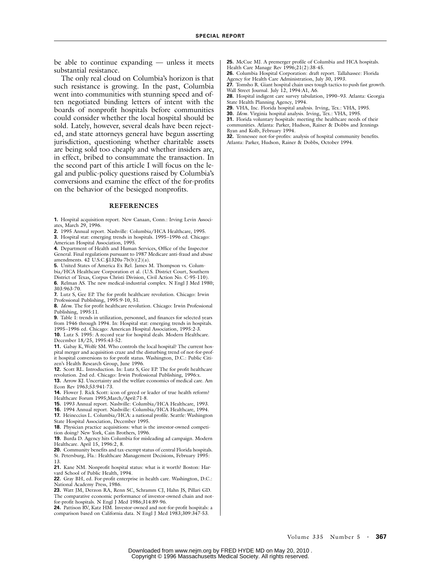be able to continue expanding — unless it meets substantial resistance.

The only real cloud on Columbia's horizon is that such resistance is growing. In the past, Columbia went into communities with stunning speed and often negotiated binding letters of intent with the boards of nonprofit hospitals before communities could consider whether the local hospital should be sold. Lately, however, several deals have been rejected, and state attorneys general have begun asserting jurisdiction, questioning whether charitable assets are being sold too cheaply and whether insiders are, in effect, bribed to consummate the transaction. In the second part of this article I will focus on the legal and public-policy questions raised by Columbia's conversions and examine the effect of the for-profits on the behavior of the besieged nonprofits.

## **REFERENCES**

**1.** Hospital acquisition report. New Canaan, Conn.: Irving Levin Associates, March 29, 1996.

**2.** 1995 Annual report. Nashville: Columbia/HCA Healthcare, 1995.

**3.** Hospital stat: emerging trends in hospitals. 1995–1996 ed. Chicago: American Hospital Association, 1995.

**4.** Department of Health and Human Services, Office of the Inspector General. Final regulations pursuant to 1987 Medicare anti-fraud and abuse amendments. 42 U.S.C.§1320a-7b(b)(2)(a).

**5.** United States of America Ex Rel. James M. Thompson vs. Columbia/HCA Healthcare Corporation et al. (U.S. District Court, Southern District of Texas, Corpus Christi Division, Civil Action No. C-95-110). **6.** Relman AS. The new medical-industrial complex. N Engl J Med 1980; 303:963-70.

**7.** Lutz S, Gee EP. The for profit healthcare revolution. Chicago: Irwin

Professional Publishing, 1995:9-10, 51. **8.** *Idem.* The for profit healthcare revolution. Chicago: Irwin Professional Publishing, 1995:11.

**9.** Table 1: trends in utilization, personnel, and finances for selected years from 1946 through 1994. In: Hospital stat: emerging trends in hospitals. 1995–1996 ed. Chicago: American Hospital Association, 1995:2-3.

**10.** Lutz S. 1995: A record year for hospital deals. Modern Healthcare. December 18/25, 1995:43-52.

**11.** Gabay K, Wolfe SM. Who controls the local hospital? The current hospital merger and acquisition craze and the disturbing trend of not-for-profit hospital conversions to for-profit status. Washington, D.C.: Public Citizen's Health Research Group, June 1996.

**12.** Scott RL. Introduction. In: Lutz S, Gee EP. The for profit healthcare revolution. 2nd ed. Chicago: Irwin Professional Publishing, 1996:x.

**13.** Arrow KJ. Uncertainty and the welfare economics of medical care. Am Econ Rev 1963;53:941-73.

**14.** Flower J. Rick Scott: icon of greed or leader of true health reform? Healthcare Forum 1995;March/April:71-8.

**15.** 1993 Annual report. Nashville: Columbia/HCA Healthcare, 1993.

**16.** 1994 Annual report. Nashville: Columbia/HCA Healthcare, 1994.

**17.** Heineccius L. Columbia/HCA: a national profile. Seattle: Washington State Hospital Association, December 1995.

**18.** Physician practice acquisitions: what is the investor-owned competition doing? New York, Cain Brothers, 1996.

**19.** Burda D. Agency hits Columbia for misleading ad campaign. Modern Healthcare. April 15, 1996:2, 8.

**20.** Community benefits and tax-exempt status of central Florida hospitals. St. Petersburg, Fla.: Healthcare Management Decisions, February 1995: 13.

**21.** Kane NM. Nonprofit hospital status: what is it worth? Boston: Harvard School of Public Health, 1994.

**22.** Gray BH, ed. For-profit enterprise in health care. Washington, D.C.: National Academy Press, 1986.

**23.** Watt JM, Derzon RA, Renn SC, Schramm CJ, Hahn JS, Pillari GD. The comparative economic performance of investor-owned chain and notfor-profit hospitals. N Engl J Med 1986;314:89-96.

**24.** Pattison RV, Katz HM. Investor-owned and not-for-profit hospitals: a comparison based on California data. N Engl J Med 1983;309:347-53.

**25.** McCue MJ. A premerger profile of Columbia and HCA hospitals. Health Care Manage Rev 1996;21(2):38-45.

**26.** Columbia Hospital Corporation: draft report. Tallahassee: Florida Agency for Health Care Administration, July 30, 1993.

**27.** Tomsho R. Giant hospital chain uses tough tactics to push fast growth. Wall Street Journal. July 12, 1994:A1, A6.

**28.** Hospital indigent care survey tabulation, 1990–93. Atlanta: Georgia State Health Planning Agency, 1994.

**29.** VHA, Inc. Florida hospital analysis. Irving, Tex.: VHA, 1995.

**30.** *Idem.* Virginia hospital analysis. Irving, Tex.: VHA, 1995.

**31.** Florida voluntary hospitals: meeting the healthcare needs of their communities. Atlanta: Parker, Hudson, Rainer & Dobbs and Jennings Ryan and Kolb, February 1994.

**32.** Tennessee not-for-profits: analysis of hospital community benefits. Atlanta: Parker, Hudson, Rainer & Dobbs, October 1994.